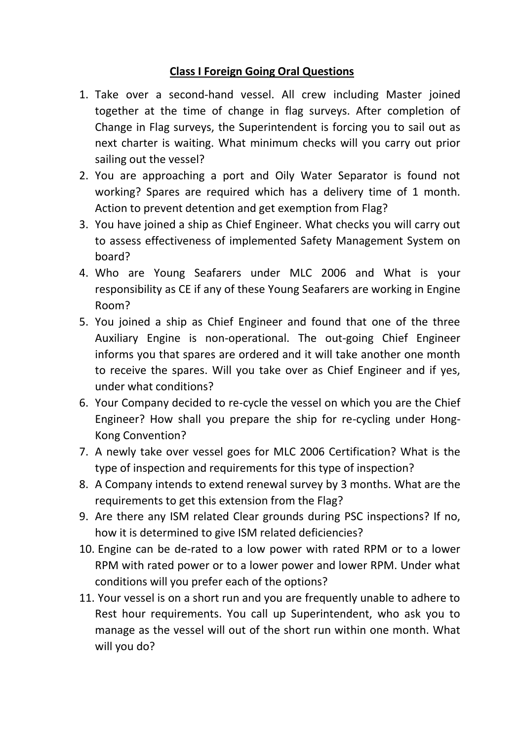# **Class I Foreign Going Oral Questions**

- 1. Take over a second-hand vessel. All crew including Master joined together at the time of change in flag surveys. After completion of Change in Flag surveys, the Superintendent is forcing you to sail out as next charter is waiting. What minimum checks will you carry out prior sailing out the vessel?
- 2. You are approaching a port and Oily Water Separator is found not working? Spares are required which has a delivery time of 1 month. Action to prevent detention and get exemption from Flag?
- 3. You have joined a ship as Chief Engineer. What checks you will carry out to assess effectiveness of implemented Safety Management System on board?
- 4. Who are Young Seafarers under MLC 2006 and What is your responsibility as CE if any of these Young Seafarers are working in Engine Room?
- 5. You joined a ship as Chief Engineer and found that one of the three Auxiliary Engine is non-operational. The out-going Chief Engineer informs you that spares are ordered and it will take another one month to receive the spares. Will you take over as Chief Engineer and if yes, under what conditions?
- 6. Your Company decided to re-cycle the vessel on which you are the Chief Engineer? How shall you prepare the ship for re-cycling under Hong-Kong Convention?
- 7. A newly take over vessel goes for MLC 2006 Certification? What is the type of inspection and requirements for this type of inspection?
- 8. A Company intends to extend renewal survey by 3 months. What are the requirements to get this extension from the Flag?
- 9. Are there any ISM related Clear grounds during PSC inspections? If no, how it is determined to give ISM related deficiencies?
- 10. Engine can be de-rated to a low power with rated RPM or to a lower RPM with rated power or to a lower power and lower RPM. Under what conditions will you prefer each of the options?
- 11. Your vessel is on a short run and you are frequently unable to adhere to Rest hour requirements. You call up Superintendent, who ask you to manage as the vessel will out of the short run within one month. What will you do?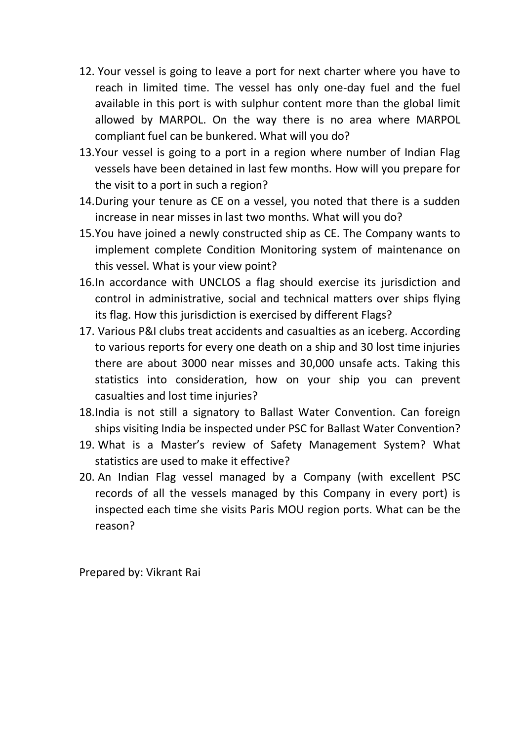- 12. Your vessel is going to leave a port for next charter where you have to reach in limited time. The vessel has only one-day fuel and the fuel available in this port is with sulphur content more than the global limit allowed by MARPOL. On the way there is no area where MARPOL compliant fuel can be bunkered. What will you do?
- 13.Your vessel is going to a port in a region where number of Indian Flag vessels have been detained in last few months. How will you prepare for the visit to a port in such a region?
- 14.During your tenure as CE on a vessel, you noted that there is a sudden increase in near misses in last two months. What will you do?
- 15.You have joined a newly constructed ship as CE. The Company wants to implement complete Condition Monitoring system of maintenance on this vessel. What is your view point?
- 16.In accordance with UNCLOS a flag should exercise its jurisdiction and control in administrative, social and technical matters over ships flying its flag. How this jurisdiction is exercised by different Flags?
- 17. Various P&I clubs treat accidents and casualties as an iceberg. According to various reports for every one death on a ship and 30 lost time injuries there are about 3000 near misses and 30,000 unsafe acts. Taking this statistics into consideration, how on your ship you can prevent casualties and lost time injuries?
- 18.India is not still a signatory to Ballast Water Convention. Can foreign ships visiting India be inspected under PSC for Ballast Water Convention?
- 19. What is a Master's review of Safety Management System? What statistics are used to make it effective?
- 20. An Indian Flag vessel managed by a Company (with excellent PSC records of all the vessels managed by this Company in every port) is inspected each time she visits Paris MOU region ports. What can be the reason?

Prepared by: Vikrant Rai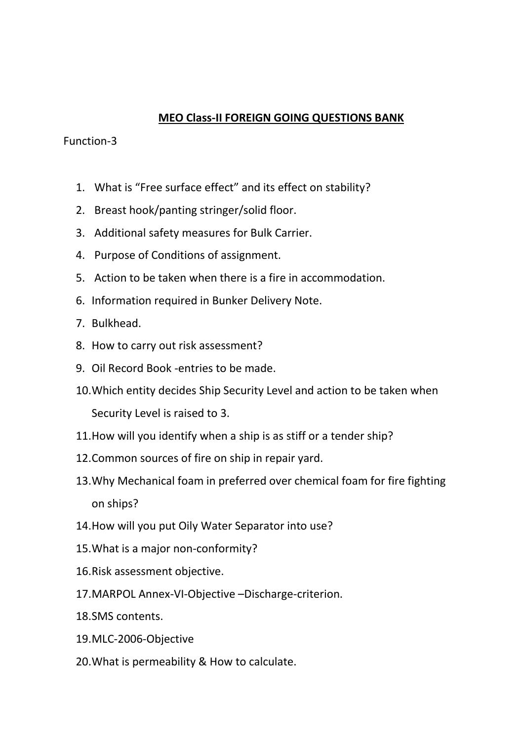## **MEO Class-II FOREIGN GOING QUESTIONS BANK**

## Function-3

- 1. What is "Free surface effect" and its effect on stability?
- 2. Breast hook/panting stringer/solid floor.
- 3. Additional safety measures for Bulk Carrier.
- 4. Purpose of Conditions of assignment.
- 5. Action to be taken when there is a fire in accommodation.
- 6. Information required in Bunker Delivery Note.
- 7. Bulkhead.
- 8. How to carry out risk assessment?
- 9. Oil Record Book -entries to be made.
- 10.Which entity decides Ship Security Level and action to be taken when Security Level is raised to 3.
- 11.How will you identify when a ship is as stiff or a tender ship?
- 12.Common sources of fire on ship in repair yard.
- 13.Why Mechanical foam in preferred over chemical foam for fire fighting on ships?
- 14.How will you put Oily Water Separator into use?
- 15.What is a major non-conformity?
- 16.Risk assessment objective.
- 17.MARPOL Annex-VI-Objective –Discharge-criterion.
- 18.SMS contents.
- 19.MLC-2006-Objective
- 20.What is permeability & How to calculate.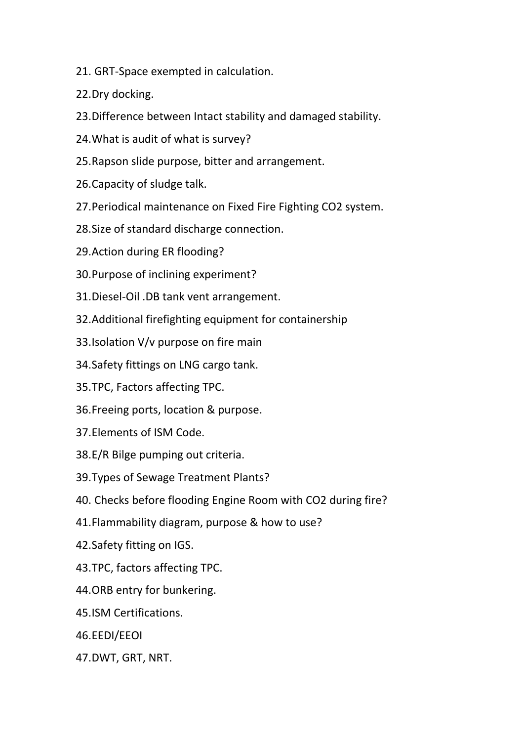- 21. GRT-Space exempted in calculation.
- 22.Dry docking.
- 23.Difference between Intact stability and damaged stability.
- 24.What is audit of what is survey?
- 25.Rapson slide purpose, bitter and arrangement.
- 26.Capacity of sludge talk.
- 27.Periodical maintenance on Fixed Fire Fighting CO2 system.
- 28.Size of standard discharge connection.
- 29.Action during ER flooding?
- 30.Purpose of inclining experiment?
- 31.Diesel-Oil .DB tank vent arrangement.
- 32.Additional firefighting equipment for containership
- 33.Isolation V/v purpose on fire main
- 34.Safety fittings on LNG cargo tank.
- 35.TPC, Factors affecting TPC.
- 36.Freeing ports, location & purpose.
- 37.Elements of ISM Code.
- 38.E/R Bilge pumping out criteria.
- 39.Types of Sewage Treatment Plants?
- 40. Checks before flooding Engine Room with CO2 during fire?
- 41.Flammability diagram, purpose & how to use?
- 42.Safety fitting on IGS.
- 43.TPC, factors affecting TPC.
- 44.ORB entry for bunkering.
- 45.ISM Certifications.
- 46.EEDI/EEOI
- 47.DWT, GRT, NRT.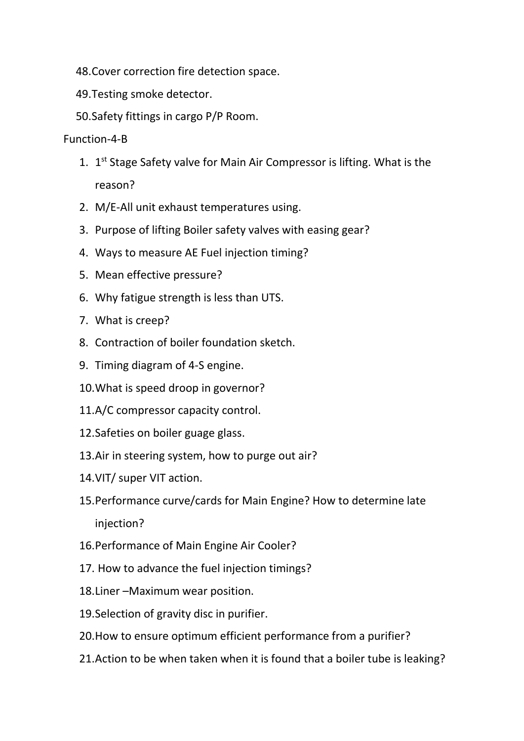- 48.Cover correction fire detection space.
- 49.Testing smoke detector.
- 50.Safety fittings in cargo P/P Room.

### Function-4-B

- 1. 1<sup>st</sup> Stage Safety valve for Main Air Compressor is lifting. What is the reason?
- 2. M/E-All unit exhaust temperatures using.
- 3. Purpose of lifting Boiler safety valves with easing gear?
- 4. Ways to measure AE Fuel injection timing?
- 5. Mean effective pressure?
- 6. Why fatigue strength is less than UTS.
- 7. What is creep?
- 8. Contraction of boiler foundation sketch.
- 9. Timing diagram of 4-S engine.
- 10.What is speed droop in governor?
- 11.A/C compressor capacity control.
- 12.Safeties on boiler guage glass.
- 13.Air in steering system, how to purge out air?
- 14.VIT/ super VIT action.
- 15.Performance curve/cards for Main Engine? How to determine late injection?
- 16.Performance of Main Engine Air Cooler?
- 17. How to advance the fuel injection timings?
- 18.Liner –Maximum wear position.
- 19.Selection of gravity disc in purifier.
- 20.How to ensure optimum efficient performance from a purifier?
- 21.Action to be when taken when it is found that a boiler tube is leaking?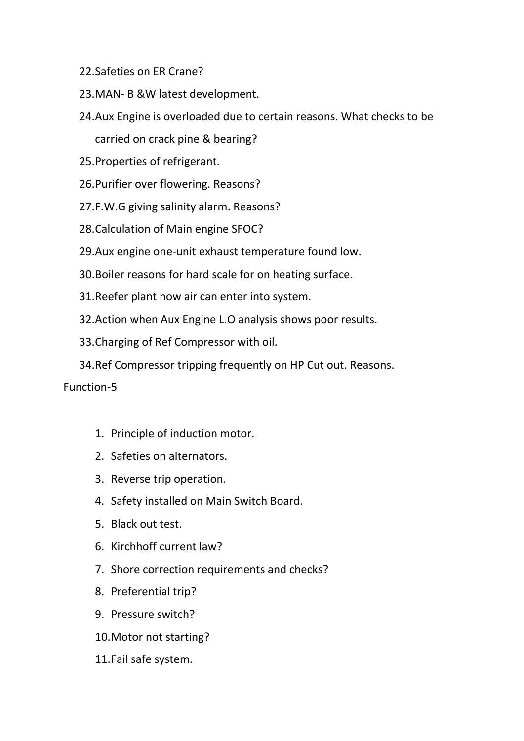- 22.Safeties on ER Crane?
- 23.MAN- B &W latest development.
- 24.Aux Engine is overloaded due to certain reasons. What checks to be carried on crack pine & bearing?
- 25.Properties of refrigerant.
- 26.Purifier over flowering. Reasons?
- 27.F.W.G giving salinity alarm. Reasons?
- 28.Calculation of Main engine SFOC?
- 29.Aux engine one-unit exhaust temperature found low.
- 30.Boiler reasons for hard scale for on heating surface.
- 31.Reefer plant how air can enter into system.
- 32.Action when Aux Engine L.O analysis shows poor results.
- 33.Charging of Ref Compressor with oil.
- 34.Ref Compressor tripping frequently on HP Cut out. Reasons.

#### Function-5

- 1. Principle of induction motor.
- 2. Safeties on alternators.
- 3. Reverse trip operation.
- 4. Safety installed on Main Switch Board.
- 5. Black out test.
- 6. Kirchhoff current law?
- 7. Shore correction requirements and checks?
- 8. Preferential trip?
- 9. Pressure switch?
- 10.Motor not starting?
- 11.Fail safe system.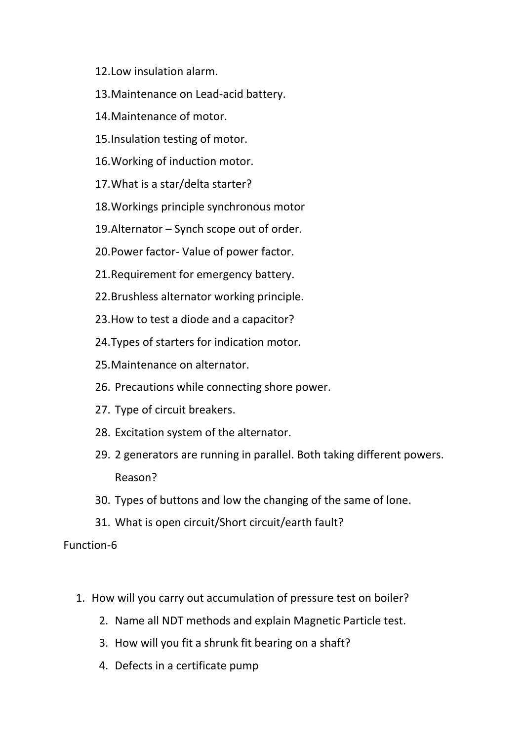- 12.Low insulation alarm.
- 13.Maintenance on Lead-acid battery.
- 14.Maintenance of motor.
- 15.Insulation testing of motor.
- 16.Working of induction motor.
- 17.What is a star/delta starter?
- 18.Workings principle synchronous motor
- 19.Alternator Synch scope out of order.
- 20.Power factor- Value of power factor.
- 21.Requirement for emergency battery.
- 22.Brushless alternator working principle.
- 23.How to test a diode and a capacitor?
- 24.Types of starters for indication motor.
- 25.Maintenance on alternator.
- 26. Precautions while connecting shore power.
- 27. Type of circuit breakers.
- 28. Excitation system of the alternator.
- 29. 2 generators are running in parallel. Both taking different powers. Reason?
- 30. Types of buttons and low the changing of the same of lone.
- 31. What is open circuit/Short circuit/earth fault?

#### Function-6

- 1. How will you carry out accumulation of pressure test on boiler?
	- 2. Name all NDT methods and explain Magnetic Particle test.
	- 3. How will you fit a shrunk fit bearing on a shaft?
	- 4. Defects in a certificate pump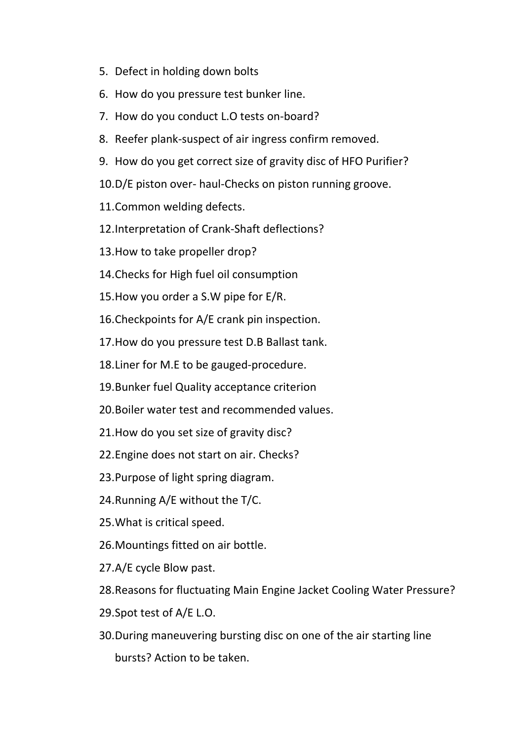- 5. Defect in holding down bolts
- 6. How do you pressure test bunker line.
- 7. How do you conduct L.O tests on-board?
- 8. Reefer plank-suspect of air ingress confirm removed.
- 9. How do you get correct size of gravity disc of HFO Purifier?
- 10.D/E piston over- haul-Checks on piston running groove.
- 11.Common welding defects.
- 12.Interpretation of Crank-Shaft deflections?
- 13.How to take propeller drop?
- 14.Checks for High fuel oil consumption
- 15.How you order a S.W pipe for E/R.
- 16.Checkpoints for A/E crank pin inspection.
- 17.How do you pressure test D.B Ballast tank.
- 18.Liner for M.E to be gauged-procedure.
- 19.Bunker fuel Quality acceptance criterion
- 20.Boiler water test and recommended values.
- 21.How do you set size of gravity disc?
- 22.Engine does not start on air. Checks?
- 23.Purpose of light spring diagram.
- 24.Running A/E without the T/C.
- 25.What is critical speed.
- 26.Mountings fitted on air bottle.
- 27.A/E cycle Blow past.
- 28.Reasons for fluctuating Main Engine Jacket Cooling Water Pressure?
- 29.Spot test of A/E L.O.
- 30.During maneuvering bursting disc on one of the air starting line bursts? Action to be taken.